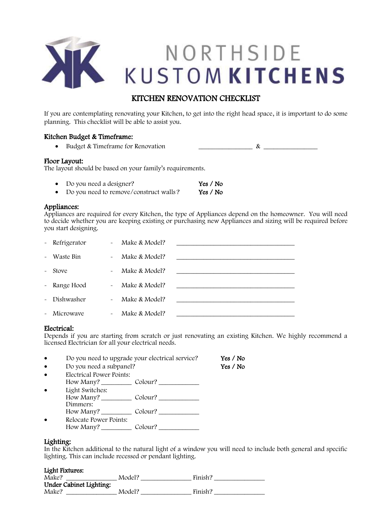

# KITCHEN RENOVATION CHECKLIST

If you are contemplating renovating your Kitchen, to get into the right head space, it is important to do some planning. This checklist will be able to assist you.

# Kitchen Budget & Timeframe:

• Budget & Timeframe for Renovation  $\qquad \qquad \qquad \qquad$   $\qquad \qquad$   $\qquad \qquad$   $\qquad \qquad$ 

## Floor Layout:

The layout should be based on your family's requirements.

| Do you need a designer?                | Yes / No |
|----------------------------------------|----------|
| Do you need to remove/construct walls? | Yes / No |

# Appliances:

Appliances are required for every Kitchen, the type of Appliances depend on the homeowner. You will need to decide whether you are keeping existing or purchasing new Appliances and sizing will be required before you start designing.

| $\sim$ $-$ | Refrigerator | $\sim$                | Make & Model? |  |
|------------|--------------|-----------------------|---------------|--|
| $\sim$     | Waste Bin    | $\tilde{\phantom{a}}$ | Make & Model? |  |
| $\sim$     | Stove        | $\tilde{\phantom{a}}$ | Make & Model? |  |
|            | - Range Hood | $\sim$                | Make & Model? |  |
| $\sim$     | Dishwasher   | $\sim$                | Make & Model? |  |
| $\sim$     | Microwaye    | $\tilde{\phantom{a}}$ | Make & Model? |  |

# Electrical:

Depends if you are starting from scratch or just renovating an existing Kitchen. We highly recommend a licensed Electrician for all your electrical needs.

| $\bullet$ | Do you need to upgrade your electrical service? | Yes $/$ No |
|-----------|-------------------------------------------------|------------|
| $\bullet$ | Do you need a subpanel?                         | Yes $/$ No |
| $\bullet$ | Electrical Power Points:                        |            |
|           | How Many? Colour?                               |            |
| $\bullet$ | Light Switches:                                 |            |
|           | How Many? $\frac{1}{2}$<br>Colour?              |            |
|           | Dimmers:                                        |            |
|           | Colour?<br>How Many?                            |            |
|           | Relocate Power Points:                          |            |

# How Many? \_\_\_\_\_\_\_\_\_ Colour? \_\_\_\_\_\_\_\_\_\_\_\_

# Lighting:

In the Kitchen additional to the natural light of a window you will need to include both general and specific lighting. This can include recessed or pendant lighting.

#### Light Fixtures:

| Make?                   | Model? | Finish? |
|-------------------------|--------|---------|
| Under Cabinet Lighting: |        |         |
| Make?                   | Model? | Finish? |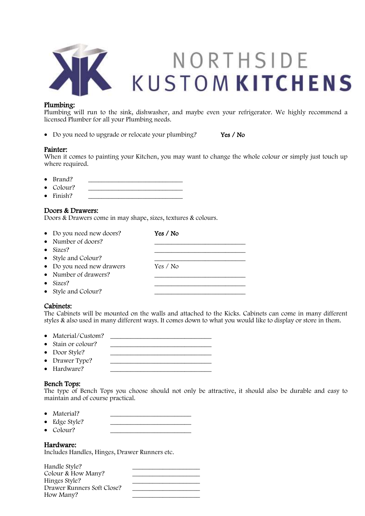

## Plumbing:

Plumbing will run to the sink, dishwasher, and maybe even your refrigerator. We highly recommend a licensed Plumber for all your Plumbing needs.

• Do you need to upgrade or relocate your plumbing? Yes / No

#### Painter:

When it comes to painting your Kitchen, you may want to change the whole colour or simply just touch up where required.

- $\bullet$  Brand?
- Colour? \_\_\_\_\_\_\_\_\_\_\_\_\_\_\_\_\_\_\_\_\_\_\_\_\_\_\_\_
- $\bullet$  Finish?

## Doors & Drawers:

Doors & Drawers come in may shape, sizes, textures & colours.

| • Do you need new doors?  | Yes / No |
|---------------------------|----------|
| • Number of doors?        |          |
| $\bullet$ Sizes?          |          |
| • Style and Colour?       |          |
| • Do you need new drawers | Yes / No |
| • Number of drawers?      |          |
| $\bullet$ Sizes?          |          |
| • Style and Colour?       |          |

#### Cabinets:

The Cabinets will be mounted on the walls and attached to the Kicks. Cabinets can come in many different styles & also used in many different ways. It comes down to what you would like to display or store in them.

- Material/Custom? \_\_\_\_\_\_\_\_\_\_\_\_\_\_\_\_\_\_\_\_\_\_\_\_\_\_\_\_\_\_
- Stain or colour?
- Door Style?
- Drawer Type?
- Hardware?

# Bench Tops:

The type of Bench Tops you choose should not only be attractive, it should also be durable and easy to maintain and of course practical.

- Material?
- Edge Style?
- Colour?

# Hardware:

Includes Handles, Hinges, Drawer Runners etc.

| Handle Style?              |  |
|----------------------------|--|
| Colour & How Many?         |  |
| Hinges Style?              |  |
| Drawer Runners Soft Close? |  |
| How Many?                  |  |
|                            |  |